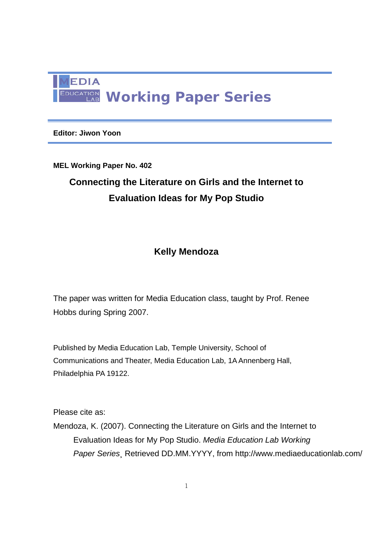

# **Editor: Jiwon Yoon**

# **MEL Working Paper No. 402**

# **Connecting the Literature on Girls and the Internet to Evaluation Ideas for My Pop Studio**

# **Kelly Mendoza**

The paper was written for Media Education class, taught by Prof. Renee Hobbs during Spring 2007.

Published by Media Education Lab, Temple University, School of Communications and Theater, Media Education Lab, 1A Annenberg Hall, Philadelphia PA 19122.

Please cite as:

Mendoza, K. (2007). Connecting the Literature on Girls and the Internet to Evaluation Ideas for My Pop Studio. *Media Education Lab Working Paper Series*¸ Retrieved DD.MM.YYYY, from http://www.mediaeducationlab.com/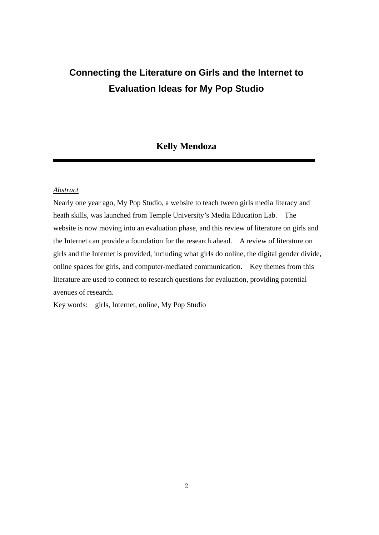# **Connecting the Literature on Girls and the Internet to Evaluation Ideas for My Pop Studio**

# **Kelly Mendoza**

## *Abstract*

Nearly one year ago, My Pop Studio, a website to teach tween girls media literacy and heath skills, was launched from Temple University's Media Education Lab. The website is now moving into an evaluation phase, and this review of literature on girls and the Internet can provide a foundation for the research ahead. A review of literature on girls and the Internet is provided, including what girls do online, the digital gender divide, online spaces for girls, and computer-mediated communication. Key themes from this literature are used to connect to research questions for evaluation, providing potential avenues of research.

Key words: girls, Internet, online, My Pop Studio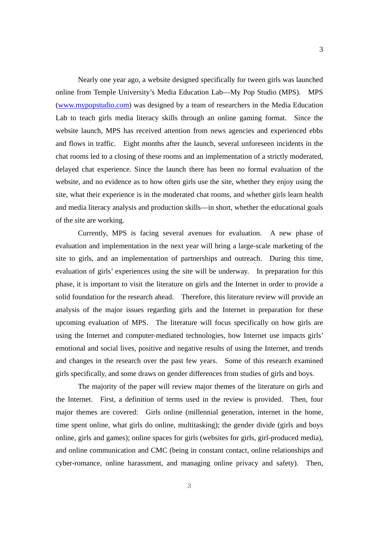Nearly one year ago, a website designed specifically for tween girls was launched online from Temple University's Media Education Lab—My Pop Studio (MPS). MPS (www.mypopstudio.com) was designed by a team of researchers in the Media Education Lab to teach girls media literacy skills through an online gaming format. Since the website launch, MPS has received attention from news agencies and experienced ebbs and flows in traffic. Eight months after the launch, several unforeseen incidents in the chat rooms led to a closing of these rooms and an implementation of a strictly moderated, delayed chat experience. Since the launch there has been no formal evaluation of the website, and no evidence as to how often girls use the site, whether they enjoy using the site, what their experience is in the moderated chat rooms, and whether girls learn health and media literacy analysis and production skills—in short, whether the educational goals of the site are working.

Currently, MPS is facing several avenues for evaluation. A new phase of evaluation and implementation in the next year will bring a large-scale marketing of the site to girls, and an implementation of partnerships and outreach. During this time, evaluation of girls' experiences using the site will be underway. In preparation for this phase, it is important to visit the literature on girls and the Internet in order to provide a solid foundation for the research ahead. Therefore, this literature review will provide an analysis of the major issues regarding girls and the Internet in preparation for these upcoming evaluation of MPS. The literature will focus specifically on how girls are using the Internet and computer-mediated technologies, how Internet use impacts girls' emotional and social lives, positive and negative results of using the Internet, and trends and changes in the research over the past few years. Some of this research examined girls specifically, and some draws on gender differences from studies of girls and boys.

The majority of the paper will review major themes of the literature on girls and the Internet. First, a definition of terms used in the review is provided. Then, four major themes are covered: Girls online (millennial generation, internet in the home, time spent online, what girls do online, multitasking); the gender divide (girls and boys online, girls and games); online spaces for girls (websites for girls, girl-produced media), and online communication and CMC (being in constant contact, online relationships and cyber-romance, online harassment, and managing online privacy and safety). Then,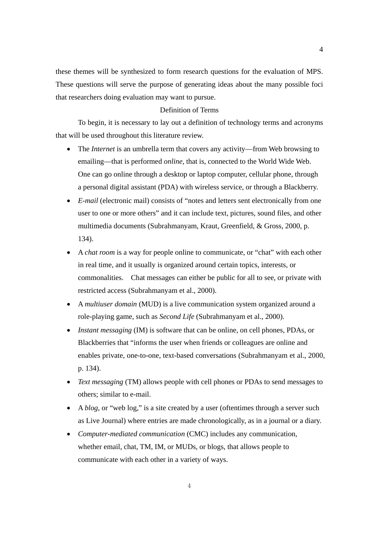these themes will be synthesized to form research questions for the evaluation of MPS. These questions will serve the purpose of generating ideas about the many possible foci that researchers doing evaluation may want to pursue.

# Definition of Terms

To begin, it is necessary to lay out a definition of technology terms and acronyms that will be used throughout this literature review.

- The *Internet* is an umbrella term that covers any activity—from Web browsing to emailing—that is performed *online*, that is, connected to the World Wide Web. One can go online through a desktop or laptop computer, cellular phone, through a personal digital assistant (PDA) with wireless service, or through a Blackberry.
- *E-mail* (electronic mail) consists of "notes and letters sent electronically from one user to one or more others" and it can include text, pictures, sound files, and other multimedia documents (Subrahmanyam, Kraut, Greenfield, & Gross, 2000, p. 134).
- A *chat room* is a way for people online to communicate, or "chat" with each other in real time, and it usually is organized around certain topics, interests, or commonalities. Chat messages can either be public for all to see, or private with restricted access (Subrahmanyam et al., 2000).
- A *multiuser domain* (MUD) is a live communication system organized around a role-playing game, such as *Second Life* (Subrahmanyam et al., 2000).
- *Instant messaging* (IM) is software that can be online, on cell phones, PDAs, or Blackberries that "informs the user when friends or colleagues are online and enables private, one-to-one, text-based conversations (Subrahmanyam et al., 2000, p. 134).
- *Text messaging* (TM) allows people with cell phones or PDAs to send messages to others; similar to e-mail.
- A *blog*, or "web log," is a site created by a user (oftentimes through a server such as Live Journal) where entries are made chronologically, as in a journal or a diary.
- *Computer-mediated communication* (CMC) includes any communication, whether email, chat, TM, IM, or MUDs, or blogs, that allows people to communicate with each other in a variety of ways.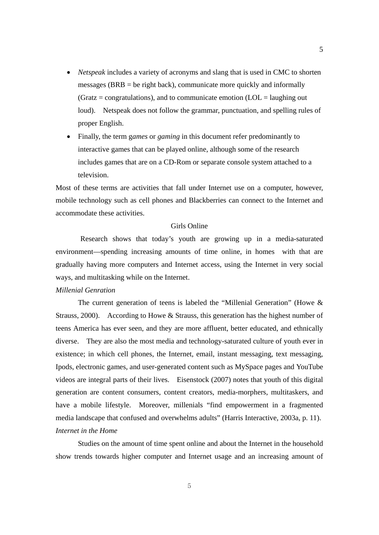- *Netspeak* includes a variety of acronyms and slang that is used in CMC to shorten messages (BRB = be right back), communicate more quickly and informally  $(Gratz = congratulations)$ , and to communicate emotion  $(LOL = \text{laughing out})$ loud). Netspeak does not follow the grammar, punctuation, and spelling rules of proper English.
- Finally, the term g*ames* or *gaming* in this document refer predominantly to interactive games that can be played online, although some of the research includes games that are on a CD-Rom or separate console system attached to a television.

Most of these terms are activities that fall under Internet use on a computer, however, mobile technology such as cell phones and Blackberries can connect to the Internet and accommodate these activities.

#### Girls Online

 Research shows that today's youth are growing up in a media-saturated environment—spending increasing amounts of time online, in homes with that are gradually having more computers and Internet access, using the Internet in very social ways, and multitasking while on the Internet.

# *Millenial Genration*

The current generation of teens is labeled the "Millenial Generation" (Howe & Strauss, 2000). According to Howe & Strauss, this generation has the highest number of teens America has ever seen, and they are more affluent, better educated, and ethnically diverse. They are also the most media and technology-saturated culture of youth ever in existence; in which cell phones, the Internet, email, instant messaging, text messaging, Ipods, electronic games, and user-generated content such as MySpace pages and YouTube videos are integral parts of their lives. Eisenstock (2007) notes that youth of this digital generation are content consumers, content creators, media-morphers, multitaskers, and have a mobile lifestyle. Moreover, millenials "find empowerment in a fragmented media landscape that confused and overwhelms adults" (Harris Interactive, 2003a, p. 11). *Internet in the Home* 

Studies on the amount of time spent online and about the Internet in the household show trends towards higher computer and Internet usage and an increasing amount of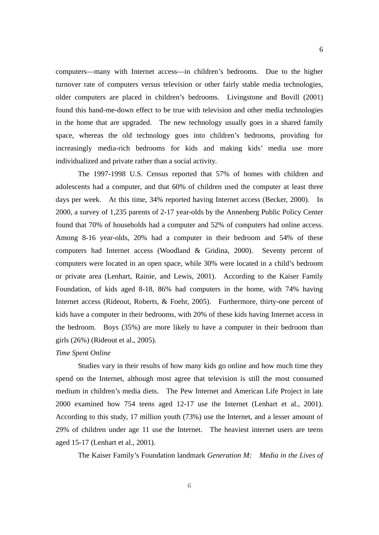computers—many with Internet access—in children's bedrooms. Due to the higher turnover rate of computers versus television or other fairly stable media technologies, older computers are placed in children's bedrooms. Livingstone and Bovill (2001) found this hand-me-down effect to be true with television and other media technologies in the home that are upgraded. The new technology usually goes in a shared family space, whereas the old technology goes into children's bedrooms, providing for increasingly media-rich bedrooms for kids and making kids' media use more individualized and private rather than a social activity.

The 1997-1998 U.S. Census reported that 57% of homes with children and adolescents had a computer, and that 60% of children used the computer at least three days per week. At this time, 34% reported having Internet access (Becker, 2000). In 2000, a survey of 1,235 parents of 2-17 year-olds by the Annenberg Public Policy Center found that 70% of households had a computer and 52% of computers had online access. Among 8-16 year-olds, 20% had a computer in their bedroom and 54% of these computers had Internet access (Woodland & Gridina, 2000). Seventy percent of computers were located in an open space, while 30% were located in a child's bedroom or private area (Lenhart, Rainie, and Lewis, 2001). According to the Kaiser Family Foundation, of kids aged 8-18, 86% had computers in the home, with 74% having Internet access (Rideout, Roberts, & Foehr, 2005). Furthermore, thirty-one percent of kids have a computer in their bedrooms, with 20% of these kids having Internet access in the bedroom. Boys (35%) are more likely to have a computer in their bedroom than girls (26%) (Rideout et al., 2005).

#### *Time Spent Online*

Studies vary in their results of how many kids go online and how much time they spend on the Internet, although most agree that television is still the most consumed medium in children's media diets. The Pew Internet and American Life Project in late 2000 examined how 754 teens aged 12-17 use the Internet (Lenhart et al., 2001). According to this study, 17 million youth (73%) use the Internet, and a lesser amount of 29% of children under age 11 use the Internet. The heaviest internet users are teens aged 15-17 (Lenhart et al., 2001).

The Kaiser Family's Foundation landmark *Generation M: Media in the Lives of*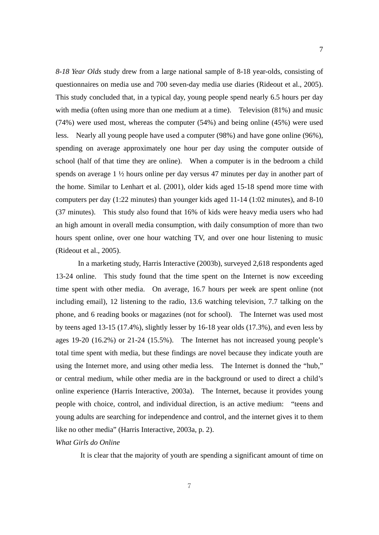*8-18 Year Olds* study drew from a large national sample of 8-18 year-olds, consisting of questionnaires on media use and 700 seven-day media use diaries (Rideout et al., 2005). This study concluded that, in a typical day, young people spend nearly 6.5 hours per day with media (often using more than one medium at a time). Television (81%) and music (74%) were used most, whereas the computer (54%) and being online (45%) were used less. Nearly all young people have used a computer (98%) and have gone online (96%), spending on average approximately one hour per day using the computer outside of school (half of that time they are online). When a computer is in the bedroom a child spends on average 1 ½ hours online per day versus 47 minutes per day in another part of the home. Similar to Lenhart et al. (2001), older kids aged 15-18 spend more time with computers per day  $(1:22 \text{ minutes})$  than younger kids aged  $11-14$   $(1:02 \text{ minutes})$ , and  $8-10$ (37 minutes). This study also found that 16% of kids were heavy media users who had an high amount in overall media consumption, with daily consumption of more than two hours spent online, over one hour watching TV, and over one hour listening to music (Rideout et al., 2005).

In a marketing study, Harris Interactive (2003b), surveyed 2,618 respondents aged 13-24 online. This study found that the time spent on the Internet is now exceeding time spent with other media. On average, 16.7 hours per week are spent online (not including email), 12 listening to the radio, 13.6 watching television, 7.7 talking on the phone, and 6 reading books or magazines (not for school). The Internet was used most by teens aged 13-15 (17.4%), slightly lesser by 16-18 year olds (17.3%), and even less by ages 19-20 (16.2%) or 21-24 (15.5%). The Internet has not increased young people's total time spent with media, but these findings are novel because they indicate youth are using the Internet more, and using other media less. The Internet is donned the "hub," or central medium, while other media are in the background or used to direct a child's online experience (Harris Interactive, 2003a). The Internet, because it provides young people with choice, control, and individual direction, is an active medium: "teens and young adults are searching for independence and control, and the internet gives it to them like no other media" (Harris Interactive, 2003a, p. 2).

### *What Girls do Online*

It is clear that the majority of youth are spending a significant amount of time on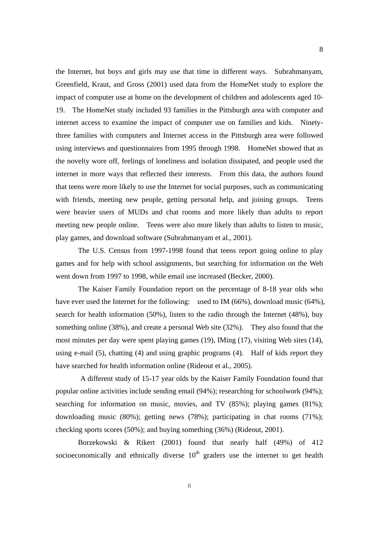the Internet, but boys and girls may use that time in different ways. Subrahmanyam, Greenfield, Kraut, and Gross (2001) used data from the HomeNet study to explore the impact of computer use at home on the development of children and adolescents aged 10- 19. The HomeNet study included 93 families in the Pittsburgh area with computer and internet access to examine the impact of computer use on families and kids. Ninetythree families with computers and Internet access in the Pittsburgh area were followed using interviews and questionnaires from 1995 through 1998. HomeNet showed that as the novelty wore off, feelings of loneliness and isolation dissipated, and people used the internet in more ways that reflected their interests. From this data, the authors found that teens were more likely to use the Internet for social purposes, such as communicating with friends, meeting new people, getting personal help, and joining groups. Teens were heavier users of MUDs and chat rooms and more likely than adults to report meeting new people online. Teens were also more likely than adults to listen to music, play games, and download software (Subrahmanyam et al., 2001).

The U.S. Census from 1997-1998 found that teens report going online to play games and for help with school assignments, but searching for information on the Web went down from 1997 to 1998, while email use increased (Becker, 2000).

The Kaiser Family Foundation report on the percentage of 8-18 year olds who have ever used the Internet for the following: used to IM (66%), download music (64%), search for health information (50%), listen to the radio through the Internet (48%), buy something online (38%), and create a personal Web site (32%). They also found that the most minutes per day were spent playing games (19), IMing (17), visiting Web sites (14), using e-mail (5), chatting (4) and using graphic programs (4). Half of kids report they have searched for health information online (Rideout et al., 2005).

 A different study of 15-17 year olds by the Kaiser Family Foundation found that popular online activities include sending email (94%); researching for schoolwork (94%); searching for information on music, movies, and TV (85%); playing games (81%); downloading music (80%); getting news (78%); participating in chat rooms (71%); checking sports scores (50%); and buying something (36%) (Rideout, 2001).

Borzekowski & Rikert (2001) found that nearly half (49%) of 412 socioeconomically and ethnically diverse  $10<sup>th</sup>$  graders use the internet to get health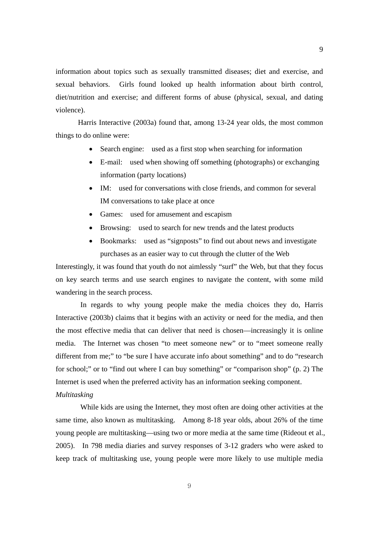information about topics such as sexually transmitted diseases; diet and exercise, and sexual behaviors. Girls found looked up health information about birth control, diet/nutrition and exercise; and different forms of abuse (physical, sexual, and dating violence).

Harris Interactive (2003a) found that, among 13-24 year olds, the most common things to do online were:

- Search engine: used as a first stop when searching for information
- E-mail: used when showing off something (photographs) or exchanging information (party locations)
- IM: used for conversations with close friends, and common for several IM conversations to take place at once
- Games: used for amusement and escapism
- Browsing: used to search for new trends and the latest products
- Bookmarks: used as "signposts" to find out about news and investigate purchases as an easier way to cut through the clutter of the Web

Interestingly, it was found that youth do not aimlessly "surf" the Web, but that they focus on key search terms and use search engines to navigate the content, with some mild wandering in the search process.

In regards to why young people make the media choices they do, Harris Interactive (2003b) claims that it begins with an activity or need for the media, and then the most effective media that can deliver that need is chosen—increasingly it is online media. The Internet was chosen "to meet someone new" or to "meet someone really different from me;" to "be sure I have accurate info about something" and to do "research for school;" or to "find out where I can buy something" or "comparison shop" (p. 2) The Internet is used when the preferred activity has an information seeking component. *Multitasking* 

 While kids are using the Internet, they most often are doing other activities at the same time, also known as multitasking. Among 8-18 year olds, about 26% of the time young people are multitasking—using two or more media at the same time (Rideout et al., 2005). In 798 media diaries and survey responses of 3-12 graders who were asked to keep track of multitasking use, young people were more likely to use multiple media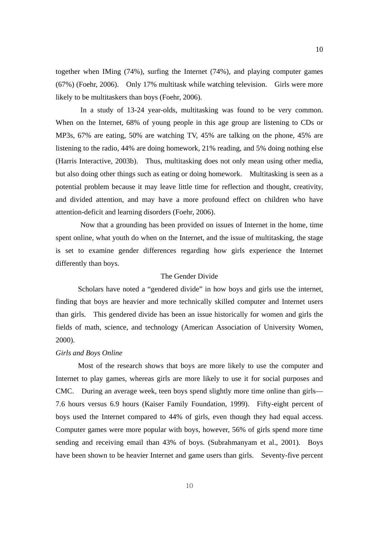together when IMing (74%), surfing the Internet (74%), and playing computer games (67%) (Foehr, 2006). Only 17% multitask while watching television. Girls were more likely to be multitaskers than boys (Foehr, 2006).

 In a study of 13-24 year-olds, multitasking was found to be very common. When on the Internet, 68% of young people in this age group are listening to CDs or MP3s, 67% are eating, 50% are watching TV, 45% are talking on the phone, 45% are listening to the radio, 44% are doing homework, 21% reading, and 5% doing nothing else (Harris Interactive, 2003b). Thus, multitasking does not only mean using other media, but also doing other things such as eating or doing homework. Multitasking is seen as a potential problem because it may leave little time for reflection and thought, creativity, and divided attention, and may have a more profound effect on children who have attention-deficit and learning disorders (Foehr, 2006).

 Now that a grounding has been provided on issues of Internet in the home, time spent online, what youth do when on the Internet, and the issue of multitasking, the stage is set to examine gender differences regarding how girls experience the Internet differently than boys.

## The Gender Divide

Scholars have noted a "gendered divide" in how boys and girls use the internet, finding that boys are heavier and more technically skilled computer and Internet users than girls. This gendered divide has been an issue historically for women and girls the fields of math, science, and technology (American Association of University Women, 2000).

#### *Girls and Boys Online*

Most of the research shows that boys are more likely to use the computer and Internet to play games, whereas girls are more likely to use it for social purposes and CMC. During an average week, teen boys spend slightly more time online than girls— 7.6 hours versus 6.9 hours (Kaiser Family Foundation, 1999). Fifty-eight percent of boys used the Internet compared to 44% of girls, even though they had equal access. Computer games were more popular with boys, however, 56% of girls spend more time sending and receiving email than 43% of boys. (Subrahmanyam et al., 2001). Boys have been shown to be heavier Internet and game users than girls. Seventy-five percent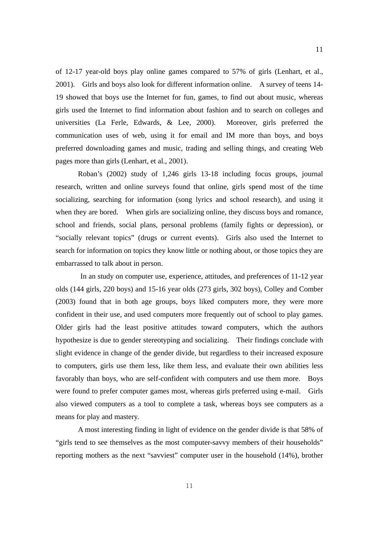of 12-17 year-old boys play online games compared to 57% of girls (Lenhart, et al., 2001). Girls and boys also look for different information online. A survey of teens 14- 19 showed that boys use the Internet for fun, games, to find out about music, whereas girls used the Internet to find information about fashion and to search on colleges and universities (La Ferle, Edwards, & Lee, 2000). Moreover, girls preferred the communication uses of web, using it for email and IM more than boys, and boys preferred downloading games and music, trading and selling things, and creating Web pages more than girls (Lenhart, et al., 2001).

Roban's (2002) study of 1,246 girls 13-18 including focus groups, journal research, written and online surveys found that online, girls spend most of the time socializing, searching for information (song lyrics and school research), and using it when they are bored. When girls are socializing online, they discuss boys and romance, school and friends, social plans, personal problems (family fights or depression), or "socially relevant topics" (drugs or current events). Girls also used the Internet to search for information on topics they know little or nothing about, or those topics they are embarrassed to talk about in person.

 In an study on computer use, experience, attitudes, and preferences of 11-12 year olds (144 girls, 220 boys) and 15-16 year olds (273 girls, 302 boys), Colley and Comber (2003) found that in both age groups, boys liked computers more, they were more confident in their use, and used computers more frequently out of school to play games. Older girls had the least positive attitudes toward computers, which the authors hypothesize is due to gender stereotyping and socializing. Their findings conclude with slight evidence in change of the gender divide, but regardless to their increased exposure to computers, girls use them less, like them less, and evaluate their own abilities less favorably than boys, who are self-confident with computers and use them more. Boys were found to prefer computer games most, whereas girls preferred using e-mail. Girls also viewed computers as a tool to complete a task, whereas boys see computers as a means for play and mastery.

A most interesting finding in light of evidence on the gender divide is that 58% of "girls tend to see themselves as the most computer-savvy members of their households" reporting mothers as the next "savviest" computer user in the household (14%), brother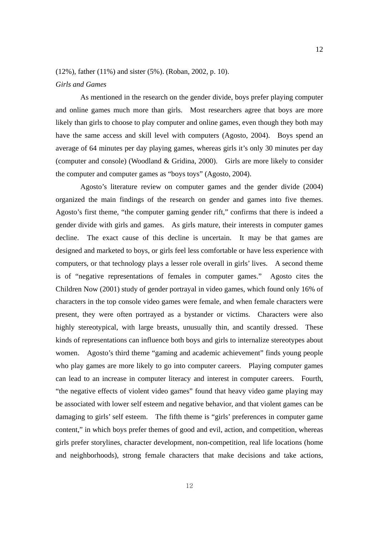# (12%), father (11%) and sister (5%). (Roban, 2002, p. 10). *Girls and Games*

 As mentioned in the research on the gender divide, boys prefer playing computer and online games much more than girls. Most researchers agree that boys are more likely than girls to choose to play computer and online games, even though they both may have the same access and skill level with computers (Agosto, 2004). Boys spend an average of 64 minutes per day playing games, whereas girls it's only 30 minutes per day (computer and console) (Woodland & Gridina, 2000). Girls are more likely to consider the computer and computer games as "boys toys" (Agosto, 2004).

 Agosto's literature review on computer games and the gender divide (2004) organized the main findings of the research on gender and games into five themes. Agosto's first theme, "the computer gaming gender rift," confirms that there is indeed a gender divide with girls and games. As girls mature, their interests in computer games decline. The exact cause of this decline is uncertain. It may be that games are designed and marketed to boys, or girls feel less comfortable or have less experience with computers, or that technology plays a lesser role overall in girls' lives. A second theme is of "negative representations of females in computer games." Agosto cites the Children Now (2001) study of gender portrayal in video games, which found only 16% of characters in the top console video games were female, and when female characters were present, they were often portrayed as a bystander or victims. Characters were also highly stereotypical, with large breasts, unusually thin, and scantily dressed. These kinds of representations can influence both boys and girls to internalize stereotypes about women. Agosto's third theme "gaming and academic achievement" finds young people who play games are more likely to go into computer careers. Playing computer games can lead to an increase in computer literacy and interest in computer careers. Fourth, "the negative effects of violent video games" found that heavy video game playing may be associated with lower self esteem and negative behavior, and that violent games can be damaging to girls' self esteem. The fifth theme is "girls' preferences in computer game content," in which boys prefer themes of good and evil, action, and competition, whereas girls prefer storylines, character development, non-competition, real life locations (home and neighborhoods), strong female characters that make decisions and take actions,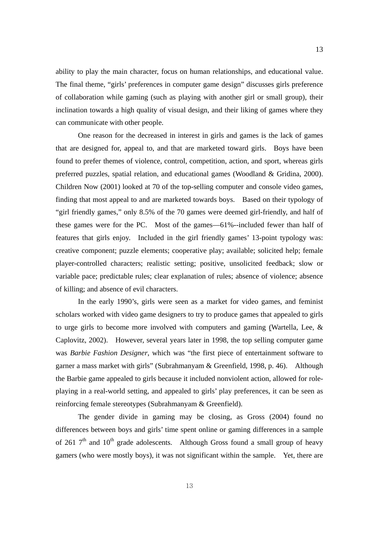ability to play the main character, focus on human relationships, and educational value. The final theme, "girls' preferences in computer game design" discusses girls preference of collaboration while gaming (such as playing with another girl or small group), their inclination towards a high quality of visual design, and their liking of games where they can communicate with other people.

One reason for the decreased in interest in girls and games is the lack of games that are designed for, appeal to, and that are marketed toward girls. Boys have been found to prefer themes of violence, control, competition, action, and sport, whereas girls preferred puzzles, spatial relation, and educational games (Woodland & Gridina, 2000). Children Now (2001) looked at 70 of the top-selling computer and console video games, finding that most appeal to and are marketed towards boys. Based on their typology of "girl friendly games," only 8.5% of the 70 games were deemed girl-friendly, and half of these games were for the PC. Most of the games—61%--included fewer than half of features that girls enjoy. Included in the girl friendly games' 13-point typology was: creative component; puzzle elements; cooperative play; available; solicited help; female player-controlled characters; realistic setting; positive, unsolicited feedback; slow or variable pace; predictable rules; clear explanation of rules; absence of violence; absence of killing; and absence of evil characters.

In the early 1990's, girls were seen as a market for video games, and feminist scholars worked with video game designers to try to produce games that appealed to girls to urge girls to become more involved with computers and gaming (Wartella, Lee, & Caplovitz, 2002). However, several years later in 1998, the top selling computer game was *Barbie Fashion Designer*, which was "the first piece of entertainment software to garner a mass market with girls" (Subrahmanyam & Greenfield, 1998, p. 46). Although the Barbie game appealed to girls because it included nonviolent action, allowed for roleplaying in a real-world setting, and appealed to girls' play preferences, it can be seen as reinforcing female stereotypes (Subrahmanyam & Greenfield).

The gender divide in gaming may be closing, as Gross (2004) found no differences between boys and girls' time spent online or gaming differences in a sample of 261  $7<sup>th</sup>$  and 10<sup>th</sup> grade adolescents. Although Gross found a small group of heavy gamers (who were mostly boys), it was not significant within the sample. Yet, there are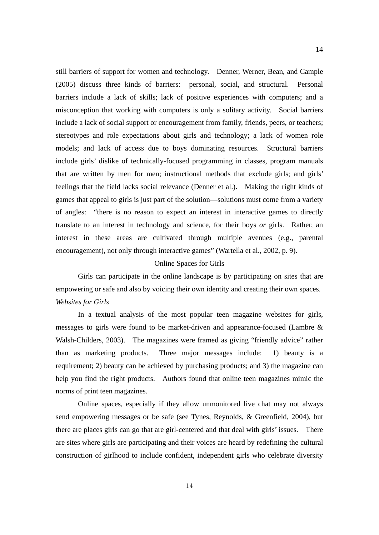still barriers of support for women and technology. Denner, Werner, Bean, and Cample (2005) discuss three kinds of barriers: personal, social, and structural. Personal barriers include a lack of skills; lack of positive experiences with computers; and a misconception that working with computers is only a solitary activity. Social barriers include a lack of social support or encouragement from family, friends, peers, or teachers; stereotypes and role expectations about girls and technology; a lack of women role models; and lack of access due to boys dominating resources. Structural barriers include girls' dislike of technically-focused programming in classes, program manuals that are written by men for men; instructional methods that exclude girls; and girls' feelings that the field lacks social relevance (Denner et al.). Making the right kinds of games that appeal to girls is just part of the solution—solutions must come from a variety of angles: "there is no reason to expect an interest in interactive games to directly translate to an interest in technology and science, for their boys *or* girls. Rather, an interest in these areas are cultivated through multiple avenues (e.g., parental encouragement), not only through interactive games" (Wartella et al., 2002, p. 9).

### Online Spaces for Girls

Girls can participate in the online landscape is by participating on sites that are empowering or safe and also by voicing their own identity and creating their own spaces. *Websites for Girls* 

In a textual analysis of the most popular teen magazine websites for girls, messages to girls were found to be market-driven and appearance-focused (Lambre & Walsh-Childers, 2003). The magazines were framed as giving "friendly advice" rather than as marketing products. Three major messages include: 1) beauty is a requirement; 2) beauty can be achieved by purchasing products; and 3) the magazine can help you find the right products. Authors found that online teen magazines mimic the norms of print teen magazines.

Online spaces, especially if they allow unmonitored live chat may not always send empowering messages or be safe (see Tynes, Reynolds, & Greenfield, 2004), but there are places girls can go that are girl-centered and that deal with girls' issues. There are sites where girls are participating and their voices are heard by redefining the cultural construction of girlhood to include confident, independent girls who celebrate diversity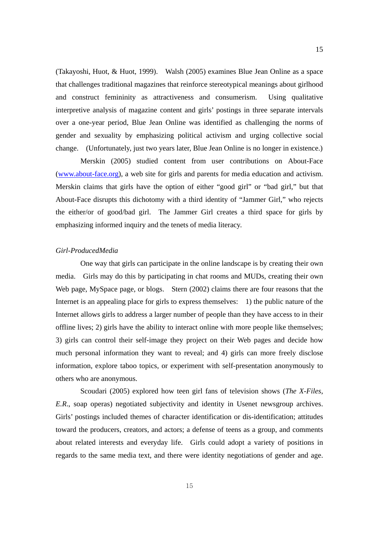(Takayoshi, Huot, & Huot, 1999). Walsh (2005) examines Blue Jean Online as a space that challenges traditional magazines that reinforce stereotypical meanings about girlhood and construct femininity as attractiveness and consumerism. Using qualitative interpretive analysis of magazine content and girls' postings in three separate intervals over a one-year period, Blue Jean Online was identified as challenging the norms of gender and sexuality by emphasizing political activism and urging collective social change. (Unfortunately, just two years later, Blue Jean Online is no longer in existence.)

 Merskin (2005) studied content from user contributions on About-Face (www.about-face.org), a web site for girls and parents for media education and activism. Merskin claims that girls have the option of either "good girl" or "bad girl," but that About-Face disrupts this dichotomy with a third identity of "Jammer Girl," who rejects the either/or of good/bad girl. The Jammer Girl creates a third space for girls by emphasizing informed inquiry and the tenets of media literacy.

#### *Girl-ProducedMedia*

 One way that girls can participate in the online landscape is by creating their own media. Girls may do this by participating in chat rooms and MUDs, creating their own Web page, MySpace page, or blogs. Stern (2002) claims there are four reasons that the Internet is an appealing place for girls to express themselves: 1) the public nature of the Internet allows girls to address a larger number of people than they have access to in their offline lives; 2) girls have the ability to interact online with more people like themselves; 3) girls can control their self-image they project on their Web pages and decide how much personal information they want to reveal; and 4) girls can more freely disclose information, explore taboo topics, or experiment with self-presentation anonymously to others who are anonymous.

 Scoudari (2005) explored how teen girl fans of television shows (*The X-Files*, *E.R.*, soap operas) negotiated subjectivity and identity in Usenet newsgroup archives. Girls' postings included themes of character identification or dis-identification; attitudes toward the producers, creators, and actors; a defense of teens as a group, and comments about related interests and everyday life. Girls could adopt a variety of positions in regards to the same media text, and there were identity negotiations of gender and age.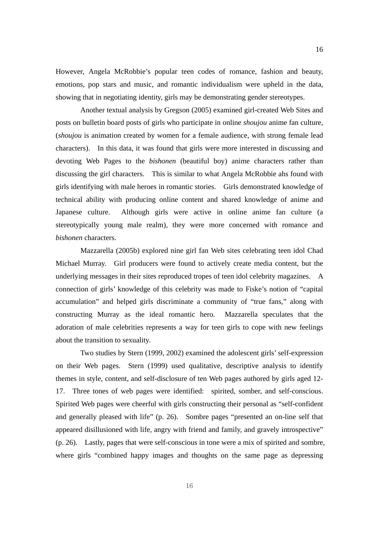However, Angela McRobbie's popular teen codes of romance, fashion and beauty, emotions, pop stars and music, and romantic individualism were upheld in the data, showing that in negotiating identity, girls may be demonstrating gender stereotypes.

 Another textual analysis by Gregson (2005) examined girl-created Web Sites and posts on bulletin board posts of girls who participate in online *shoujou* anime fan culture, (*shoujou* is animation created by women for a female audience, with strong female lead characters). In this data, it was found that girls were more interested in discussing and devoting Web Pages to the *bishonen* (beautiful boy) anime characters rather than discussing the girl characters. This is similar to what Angela McRobbie ahs found with girls identifying with male heroes in romantic stories. Girls demonstrated knowledge of technical ability with producing online content and shared knowledge of anime and Japanese culture. Although girls were active in online anime fan culture (a stereotypically young male realm), they were more concerned with romance and *bishonen* characters.

 Mazzarella (2005b) explored nine girl fan Web sites celebrating teen idol Chad Michael Murray. Girl producers were found to actively create media content, but the underlying messages in their sites reproduced tropes of teen idol celebrity magazines. A connection of girls' knowledge of this celebrity was made to Fiske's notion of "capital accumulation" and helped girls discriminate a community of "true fans," along with constructing Murray as the ideal romantic hero. Mazzarella speculates that the adoration of male celebrities represents a way for teen girls to cope with new feelings about the transition to sexuality.

 Two studies by Stern (1999, 2002) examined the adolescent girls' self-expression on their Web pages. Stern (1999) used qualitative, descriptive analysis to identify themes in style, content, and self-disclosure of ten Web pages authored by girls aged 12- 17. Three tones of web pages were identified: spirited, somber, and self-conscious. Spirited Web pages were cheerful with girls constructing their personal as "self-confident and generally pleased with life" (p. 26). Sombre pages "presented an on-line self that appeared disillusioned with life, angry with friend and family, and gravely introspective" (p. 26). Lastly, pages that were self-conscious in tone were a mix of spirited and sombre, where girls "combined happy images and thoughts on the same page as depressing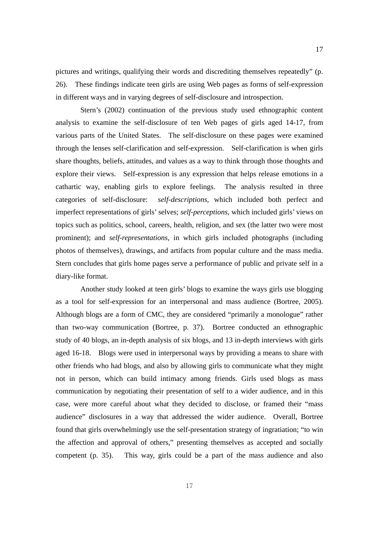pictures and writings, qualifying their words and discrediting themselves repeatedly" (p. 26). These findings indicate teen girls are using Web pages as forms of self-expression in different ways and in varying degrees of self-disclosure and introspection.

 Stern's (2002) continuation of the previous study used ethnographic content analysis to examine the self-disclosure of ten Web pages of girls aged 14-17, from various parts of the United States. The self-disclosure on these pages were examined through the lenses self-clarification and self-expression. Self-clarification is when girls share thoughts, beliefs, attitudes, and values as a way to think through those thoughts and explore their views. Self-expression is any expression that helps release emotions in a cathartic way, enabling girls to explore feelings. The analysis resulted in three categories of self-disclosure: *self-descriptions*, which included both perfect and imperfect representations of girls' selves; *self-perceptions*, which included girls' views on topics such as politics, school, careers, health, religion, and sex (the latter two were most prominent); and *self-representations*, in which girls included photographs (including photos of themselves), drawings, and artifacts from popular culture and the mass media. Stern concludes that girls home pages serve a performance of public and private self in a diary-like format.

 Another study looked at teen girls' blogs to examine the ways girls use blogging as a tool for self-expression for an interpersonal and mass audience (Bortree, 2005). Although blogs are a form of CMC, they are considered "primarily a monologue" rather than two-way communication (Bortree, p. 37). Bortree conducted an ethnographic study of 40 blogs, an in-depth analysis of six blogs, and 13 in-depth interviews with girls aged 16-18. Blogs were used in interpersonal ways by providing a means to share with other friends who had blogs, and also by allowing girls to communicate what they might not in person, which can build intimacy among friends. Girls used blogs as mass communication by negotiating their presentation of self to a wider audience, and in this case, were more careful about what they decided to disclose, or framed their "mass audience" disclosures in a way that addressed the wider audience. Overall, Bortree found that girls overwhelmingly use the self-presentation strategy of ingratiation; "to win the affection and approval of others," presenting themselves as accepted and socially competent (p. 35). This way, girls could be a part of the mass audience and also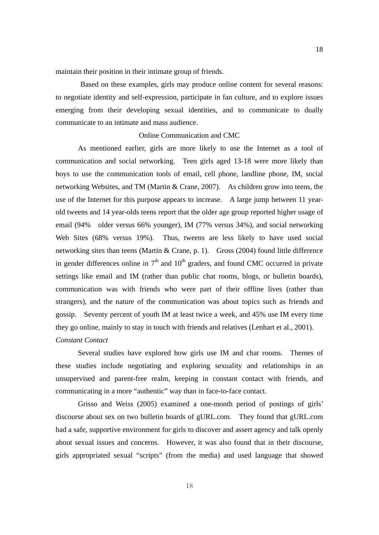maintain their position in their intimate group of friends.

 Based on these examples, girls may produce online content for several reasons: to negotiate identity and self-expression, participate in fan culture, and to explore issues emerging from their developing sexual identities, and to communicate to dually communicate to an intimate and mass audience.

# Online Communication and CMC

As mentioned earlier, girls are more likely to use the Internet as a tool of communication and social networking. Teen girls aged 13-18 were more likely than boys to use the communication tools of email, cell phone, landline phone, IM, social networking Websites, and TM (Martin & Crane, 2007). As children grow into teens, the use of the Internet for this purpose appears to increase. A large jump between 11 yearold tweens and 14 year-olds teens report that the older age group reported higher usage of email (94% older versus 66% younger), IM (77% versus 34%), and social networking Web Sites (68% versus 19%). Thus, tweens are less likely to have used social networking sites than teens (Martin & Crane, p. 1). Gross (2004) found little difference in gender differences online in  $7<sup>th</sup>$  and  $10<sup>th</sup>$  graders, and found CMC occurred in private settings like email and IM (rather than public chat rooms, blogs, or bulletin boards), communication was with friends who were part of their offline lives (rather than strangers), and the nature of the communication was about topics such as friends and gossip. Seventy percent of youth IM at least twice a week, and 45% use IM every time they go online, mainly to stay in touch with friends and relatives (Lenhart et al., 2001). *Constant Contact* 

Several studies have explored how girls use IM and chat rooms. Themes of these studies include negotiating and exploring sexuality and relationships in an unsupervised and parent-free realm, keeping in constant contact with friends, and communicating in a more "authentic" way than in face-to-face contact.

Grisso and Weiss (2005) examined a one-month period of postings of girls' discourse about sex on two bulletin boards of gURL.com. They found that gURL.com had a safe, supportive environment for girls to discover and assert agency and talk openly about sexual issues and concerns. However, it was also found that in their discourse, girls appropriated sexual "scripts" (from the media) and used language that showed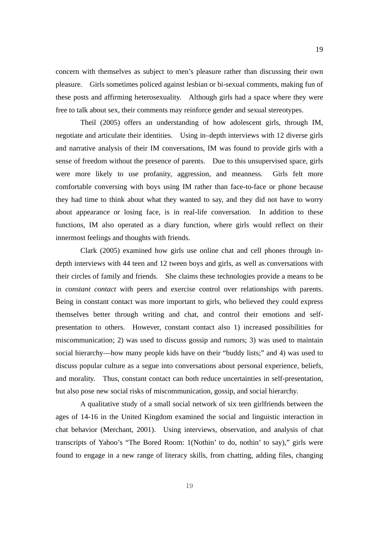concern with themselves as subject to men's pleasure rather than discussing their own pleasure. Girls sometimes policed against lesbian or bi-sexual comments, making fun of these posts and affirming heterosexuality. Although girls had a space where they were free to talk about sex, their comments may reinforce gender and sexual stereotypes.

 Theil (2005) offers an understanding of how adolescent girls, through IM, negotiate and articulate their identities. Using in–depth interviews with 12 diverse girls and narrative analysis of their IM conversations, IM was found to provide girls with a sense of freedom without the presence of parents. Due to this unsupervised space, girls were more likely to use profanity, aggression, and meanness. Girls felt more comfortable conversing with boys using IM rather than face-to-face or phone because they had time to think about what they wanted to say, and they did not have to worry about appearance or losing face, is in real-life conversation. In addition to these functions, IM also operated as a diary function, where girls would reflect on their innermost feelings and thoughts with friends.

 Clark (2005) examined how girls use online chat and cell phones through indepth interviews with 44 teen and 12 tween boys and girls, as well as conversations with their circles of family and friends. She claims these technologies provide a means to be in *constant contact* with peers and exercise control over relationships with parents. Being in constant contact was more important to girls, who believed they could express themselves better through writing and chat, and control their emotions and selfpresentation to others. However, constant contact also 1) increased possibilities for miscommunication; 2) was used to discuss gossip and rumors; 3) was used to maintain social hierarchy—how many people kids have on their "buddy lists;" and 4) was used to discuss popular culture as a segue into conversations about personal experience, beliefs, and morality. Thus, constant contact can both reduce uncertainties in self-presentation, but also pose new social risks of miscommunication, gossip, and social hierarchy.

 A qualitative study of a small social network of six teen girlfriends between the ages of 14-16 in the United Kingdom examined the social and linguistic interaction in chat behavior (Merchant, 2001). Using interviews, observation, and analysis of chat transcripts of Yahoo's "The Bored Room: 1(Nothin' to do, nothin' to say)," girls were found to engage in a new range of literacy skills, from chatting, adding files, changing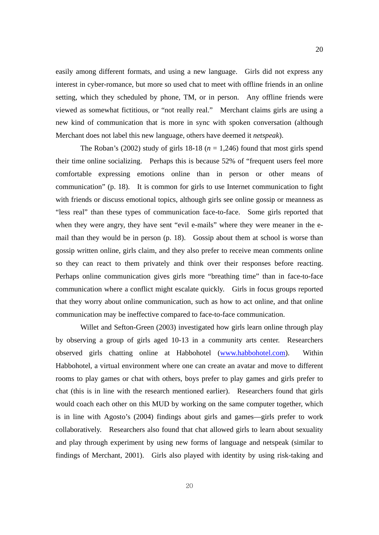easily among different formats, and using a new language. Girls did not express any interest in cyber-romance, but more so used chat to meet with offline friends in an online setting, which they scheduled by phone, TM, or in person. Any offline friends were viewed as somewhat fictitious, or "not really real." Merchant claims girls are using a new kind of communication that is more in sync with spoken conversation (although Merchant does not label this new language, others have deemed it *netspeak*).

The Roban's (2002) study of girls  $18-18$  ( $n = 1,246$ ) found that most girls spend their time online socializing. Perhaps this is because 52% of "frequent users feel more comfortable expressing emotions online than in person or other means of communication" (p. 18). It is common for girls to use Internet communication to fight with friends or discuss emotional topics, although girls see online gossip or meanness as "less real" than these types of communication face-to-face. Some girls reported that when they were angry, they have sent "evil e-mails" where they were meaner in the email than they would be in person (p. 18). Gossip about them at school is worse than gossip written online, girls claim, and they also prefer to receive mean comments online so they can react to them privately and think over their responses before reacting. Perhaps online communication gives girls more "breathing time" than in face-to-face communication where a conflict might escalate quickly. Girls in focus groups reported that they worry about online communication, such as how to act online, and that online communication may be ineffective compared to face-to-face communication.

 Willet and Sefton-Green (2003) investigated how girls learn online through play by observing a group of girls aged 10-13 in a community arts center. Researchers observed girls chatting online at Habbohotel (www.habbohotel.com). Within Habbohotel, a virtual environment where one can create an avatar and move to different rooms to play games or chat with others, boys prefer to play games and girls prefer to chat (this is in line with the research mentioned earlier). Researchers found that girls would coach each other on this MUD by working on the same computer together, which is in line with Agosto's (2004) findings about girls and games—girls prefer to work collaboratively. Researchers also found that chat allowed girls to learn about sexuality and play through experiment by using new forms of language and netspeak (similar to findings of Merchant, 2001). Girls also played with identity by using risk-taking and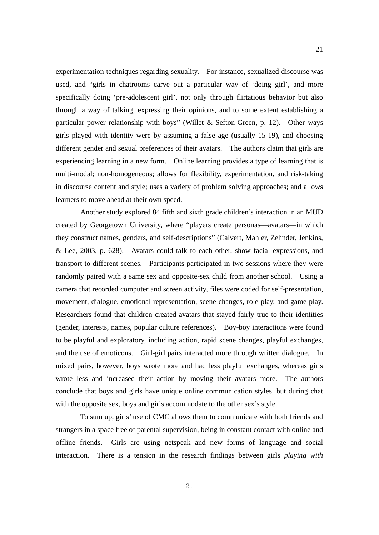experimentation techniques regarding sexuality. For instance, sexualized discourse was used, and "girls in chatrooms carve out a particular way of 'doing girl', and more specifically doing 'pre-adolescent girl', not only through flirtatious behavior but also through a way of talking, expressing their opinions, and to some extent establishing a particular power relationship with boys" (Willet & Sefton-Green, p. 12). Other ways girls played with identity were by assuming a false age (usually 15-19), and choosing different gender and sexual preferences of their avatars. The authors claim that girls are experiencing learning in a new form. Online learning provides a type of learning that is multi-modal; non-homogeneous; allows for flexibility, experimentation, and risk-taking in discourse content and style; uses a variety of problem solving approaches; and allows learners to move ahead at their own speed.

 Another study explored 84 fifth and sixth grade children's interaction in an MUD created by Georgetown University, where "players create personas—avatars—in which they construct names, genders, and self-descriptions" (Calvert, Mahler, Zehnder, Jenkins, & Lee, 2003, p. 628). Avatars could talk to each other, show facial expressions, and transport to different scenes. Participants participated in two sessions where they were randomly paired with a same sex and opposite-sex child from another school. Using a camera that recorded computer and screen activity, files were coded for self-presentation, movement, dialogue, emotional representation, scene changes, role play, and game play. Researchers found that children created avatars that stayed fairly true to their identities (gender, interests, names, popular culture references). Boy-boy interactions were found to be playful and exploratory, including action, rapid scene changes, playful exchanges, and the use of emoticons. Girl-girl pairs interacted more through written dialogue. In mixed pairs, however, boys wrote more and had less playful exchanges, whereas girls wrote less and increased their action by moving their avatars more. The authors conclude that boys and girls have unique online communication styles, but during chat with the opposite sex, boys and girls accommodate to the other sex's style.

 To sum up, girls' use of CMC allows them to communicate with both friends and strangers in a space free of parental supervision, being in constant contact with online and offline friends. Girls are using netspeak and new forms of language and social interaction. There is a tension in the research findings between girls *playing with*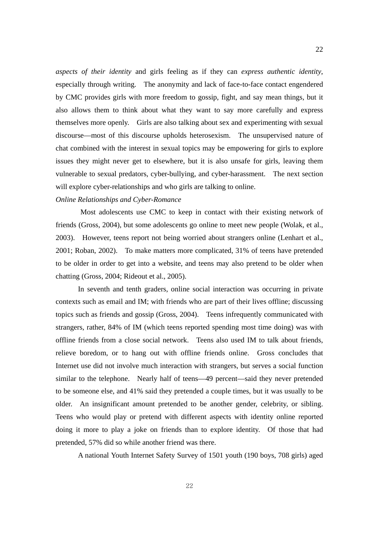*aspects of their identity* and girls feeling as if they can *express authentic identity*, especially through writing. The anonymity and lack of face-to-face contact engendered by CMC provides girls with more freedom to gossip, fight, and say mean things, but it also allows them to think about what they want to say more carefully and express themselves more openly. Girls are also talking about sex and experimenting with sexual discourse—most of this discourse upholds heterosexism. The unsupervised nature of chat combined with the interest in sexual topics may be empowering for girls to explore issues they might never get to elsewhere, but it is also unsafe for girls, leaving them vulnerable to sexual predators, cyber-bullying, and cyber-harassment. The next section will explore cyber-relationships and who girls are talking to online.

### *Online Relationships and Cyber-Romance*

 Most adolescents use CMC to keep in contact with their existing network of friends (Gross, 2004), but some adolescents go online to meet new people (Wolak, et al., 2003). However, teens report not being worried about strangers online (Lenhart et al., 2001; Roban, 2002). To make matters more complicated, 31% of teens have pretended to be older in order to get into a website, and teens may also pretend to be older when chatting (Gross, 2004; Rideout et al., 2005).

In seventh and tenth graders, online social interaction was occurring in private contexts such as email and IM; with friends who are part of their lives offline; discussing topics such as friends and gossip (Gross, 2004). Teens infrequently communicated with strangers, rather, 84% of IM (which teens reported spending most time doing) was with offline friends from a close social network. Teens also used IM to talk about friends, relieve boredom, or to hang out with offline friends online. Gross concludes that Internet use did not involve much interaction with strangers, but serves a social function similar to the telephone. Nearly half of teens—49 percent—said they never pretended to be someone else, and 41% said they pretended a couple times, but it was usually to be older. An insignificant amount pretended to be another gender, celebrity, or sibling. Teens who would play or pretend with different aspects with identity online reported doing it more to play a joke on friends than to explore identity. Of those that had pretended, 57% did so while another friend was there.

A national Youth Internet Safety Survey of 1501 youth (190 boys, 708 girls) aged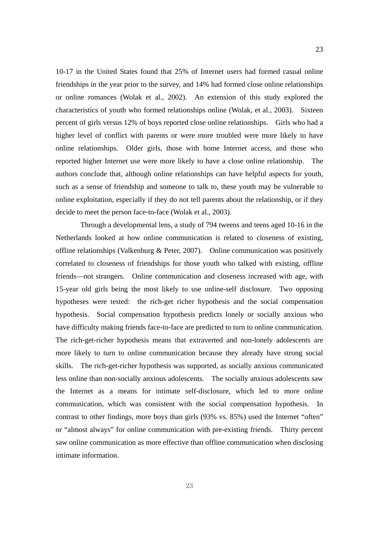10-17 in the United States found that 25% of Internet users had formed casual online friendships in the year prior to the survey, and 14% had formed close online relationships or online romances (Wolak et al., 2002). An extension of this study explored the characteristics of youth who formed relationships online (Wolak, et al., 2003). Sixteen percent of girls versus 12% of boys reported close online relationships. Girls who had a higher level of conflict with parents or were more troubled were more likely to have online relationships. Older girls, those with home Internet access, and those who reported higher Internet use were more likely to have a close online relationship. The authors conclude that, although online relationships can have helpful aspects for youth, such as a sense of friendship and someone to talk to, these youth may be vulnerable to online exploitation, especially if they do not tell parents about the relationship, or if they decide to meet the person face-to-face (Wolak et al., 2003).

 Through a developmental lens, a study of 794 tweens and teens aged 10-16 in the Netherlands looked at how online communication is related to closeness of existing, offline relationships (Valkenburg & Peter, 2007). Online communication was positively correlated to closeness of friendships for those youth who talked with existing, offline friends—not strangers. Online communication and closeness increased with age, with 15-year old girls being the most likely to use online-self disclosure. Two opposing hypotheses were tested: the rich-get richer hypothesis and the social compensation hypothesis. Social compensation hypothesis predicts lonely or socially anxious who have difficulty making friends face-to-face are predicted to turn to online communication. The rich-get-richer hypothesis means that extraverted and non-lonely adolescents are more likely to turn to online communication because they already have strong social skills. The rich-get-richer hypothesis was supported, as socially anxious communicated less online than non-socially anxious adolescents. The socially anxious adolescents saw the Internet as a means for intimate self-disclosure, which led to more online communication, which was consistent with the social compensation hypothesis. In contrast to other findings, more boys than girls (93% vs. 85%) used the Internet "often" or "almost always" for online communication with pre-existing friends. Thirty percent saw online communication as more effective than offline communication when disclosing intimate information.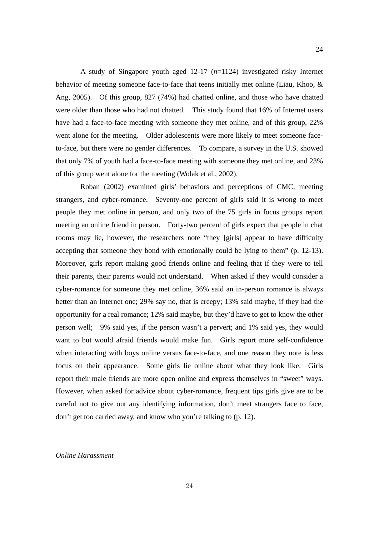A study of Singapore youth aged 12-17 (*n*=1124) investigated risky Internet behavior of meeting someone face-to-face that teens initially met online (Liau, Khoo, & Ang, 2005). Of this group, 827 (74%) had chatted online, and those who have chatted were older than those who had not chatted. This study found that 16% of Internet users have had a face-to-face meeting with someone they met online, and of this group, 22% went alone for the meeting. Older adolescents were more likely to meet someone faceto-face, but there were no gender differences. To compare, a survey in the U.S. showed that only 7% of youth had a face-to-face meeting with someone they met online, and 23% of this group went alone for the meeting (Wolak et al., 2002).

 Roban (2002) examined girls' behaviors and perceptions of CMC, meeting strangers, and cyber-romance. Seventy-one percent of girls said it is wrong to meet people they met online in person, and only two of the 75 girls in focus groups report meeting an online friend in person. Forty-two percent of girls expect that people in chat rooms may lie, however, the researchers note "they [girls] appear to have difficulty accepting that someone they bond with emotionally could be lying to them" (p. 12-13). Moreover, girls report making good friends online and feeling that if they were to tell their parents, their parents would not understand. When asked if they would consider a cyber-romance for someone they met online, 36% said an in-person romance is always better than an Internet one; 29% say no, that is creepy; 13% said maybe, if they had the opportunity for a real romance; 12% said maybe, but they'd have to get to know the other person well; 9% said yes, if the person wasn't a pervert; and 1% said yes, they would want to but would afraid friends would make fun. Girls report more self-confidence when interacting with boys online versus face-to-face, and one reason they note is less focus on their appearance. Some girls lie online about what they look like. Girls report their male friends are more open online and express themselves in "sweet" ways. However, when asked for advice about cyber-romance, frequent tips girls give are to be careful not to give out any identifying information, don't meet strangers face to face, don't get too carried away, and know who you're talking to (p. 12).

# *Online Harassment*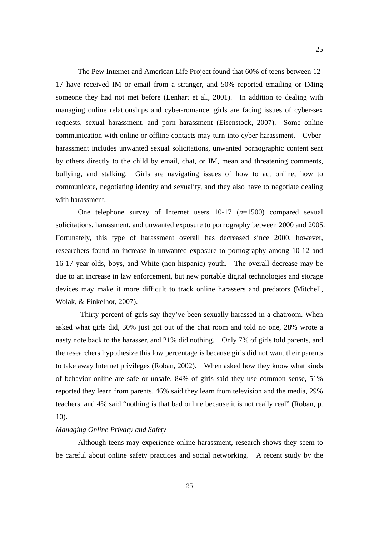The Pew Internet and American Life Project found that 60% of teens between 12- 17 have received IM or email from a stranger, and 50% reported emailing or IMing someone they had not met before (Lenhart et al., 2001). In addition to dealing with managing online relationships and cyber-romance, girls are facing issues of cyber-sex requests, sexual harassment, and porn harassment (Eisenstock, 2007). Some online communication with online or offline contacts may turn into cyber-harassment. Cyberharassment includes unwanted sexual solicitations, unwanted pornographic content sent by others directly to the child by email, chat, or IM, mean and threatening comments, bullying, and stalking. Girls are navigating issues of how to act online, how to communicate, negotiating identity and sexuality, and they also have to negotiate dealing with harassment.

One telephone survey of Internet users 10-17 (*n*=1500) compared sexual solicitations, harassment, and unwanted exposure to pornography between 2000 and 2005. Fortunately, this type of harassment overall has decreased since 2000, however, researchers found an increase in unwanted exposure to pornography among 10-12 and 16-17 year olds, boys, and White (non-hispanic) youth. The overall decrease may be due to an increase in law enforcement, but new portable digital technologies and storage devices may make it more difficult to track online harassers and predators (Mitchell, Wolak, & Finkelhor, 2007).

 Thirty percent of girls say they've been sexually harassed in a chatroom. When asked what girls did, 30% just got out of the chat room and told no one, 28% wrote a nasty note back to the harasser, and 21% did nothing. Only 7% of girls told parents, and the researchers hypothesize this low percentage is because girls did not want their parents to take away Internet privileges (Roban, 2002). When asked how they know what kinds of behavior online are safe or unsafe, 84% of girls said they use common sense, 51% reported they learn from parents, 46% said they learn from television and the media, 29% teachers, and 4% said "nothing is that bad online because it is not really real" (Roban, p. 10).

#### *Managing Online Privacy and Safety*

Although teens may experience online harassment, research shows they seem to be careful about online safety practices and social networking. A recent study by the

25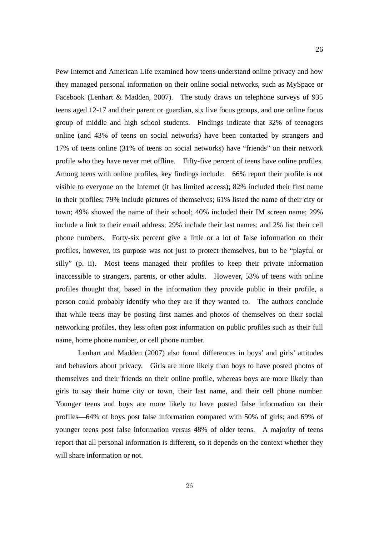Pew Internet and American Life examined how teens understand online privacy and how they managed personal information on their online social networks, such as MySpace or Facebook (Lenhart & Madden, 2007). The study draws on telephone surveys of 935 teens aged 12-17 and their parent or guardian, six live focus groups, and one online focus group of middle and high school students. Findings indicate that 32% of teenagers online (and 43% of teens on social networks) have been contacted by strangers and 17% of teens online (31% of teens on social networks) have "friends" on their network profile who they have never met offline. Fifty-five percent of teens have online profiles. Among teens with online profiles, key findings include: 66% report their profile is not visible to everyone on the Internet (it has limited access); 82% included their first name in their profiles; 79% include pictures of themselves; 61% listed the name of their city or town; 49% showed the name of their school; 40% included their IM screen name; 29% include a link to their email address; 29% include their last names; and 2% list their cell phone numbers. Forty-six percent give a little or a lot of false information on their profiles, however, its purpose was not just to protect themselves, but to be "playful or silly" (p. ii). Most teens managed their profiles to keep their private information inaccessible to strangers, parents, or other adults. However, 53% of teens with online profiles thought that, based in the information they provide public in their profile, a person could probably identify who they are if they wanted to. The authors conclude that while teens may be posting first names and photos of themselves on their social networking profiles, they less often post information on public profiles such as their full name, home phone number, or cell phone number.

Lenhart and Madden (2007) also found differences in boys' and girls' attitudes and behaviors about privacy. Girls are more likely than boys to have posted photos of themselves and their friends on their online profile, whereas boys are more likely than girls to say their home city or town, their last name, and their cell phone number. Younger teens and boys are more likely to have posted false information on their profiles—64% of boys post false information compared with 50% of girls; and 69% of younger teens post false information versus 48% of older teens. A majority of teens report that all personal information is different, so it depends on the context whether they will share information or not.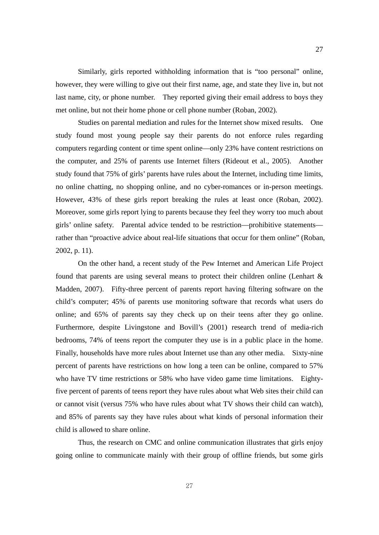Similarly, girls reported withholding information that is "too personal" online, however, they were willing to give out their first name, age, and state they live in, but not last name, city, or phone number. They reported giving their email address to boys they met online, but not their home phone or cell phone number (Roban, 2002).

Studies on parental mediation and rules for the Internet show mixed results. One study found most young people say their parents do not enforce rules regarding computers regarding content or time spent online—only 23% have content restrictions on the computer, and 25% of parents use Internet filters (Rideout et al., 2005). Another study found that 75% of girls' parents have rules about the Internet, including time limits, no online chatting, no shopping online, and no cyber-romances or in-person meetings. However, 43% of these girls report breaking the rules at least once (Roban, 2002). Moreover, some girls report lying to parents because they feel they worry too much about girls' online safety. Parental advice tended to be restriction—prohibitive statements rather than "proactive advice about real-life situations that occur for them online" (Roban, 2002, p. 11).

On the other hand, a recent study of the Pew Internet and American Life Project found that parents are using several means to protect their children online (Lenhart & Madden, 2007). Fifty-three percent of parents report having filtering software on the child's computer; 45% of parents use monitoring software that records what users do online; and 65% of parents say they check up on their teens after they go online. Furthermore, despite Livingstone and Bovill's (2001) research trend of media-rich bedrooms, 74% of teens report the computer they use is in a public place in the home. Finally, households have more rules about Internet use than any other media. Sixty-nine percent of parents have restrictions on how long a teen can be online, compared to 57% who have TV time restrictions or 58% who have video game time limitations. Eightyfive percent of parents of teens report they have rules about what Web sites their child can or cannot visit (versus 75% who have rules about what TV shows their child can watch), and 85% of parents say they have rules about what kinds of personal information their child is allowed to share online.

Thus, the research on CMC and online communication illustrates that girls enjoy going online to communicate mainly with their group of offline friends, but some girls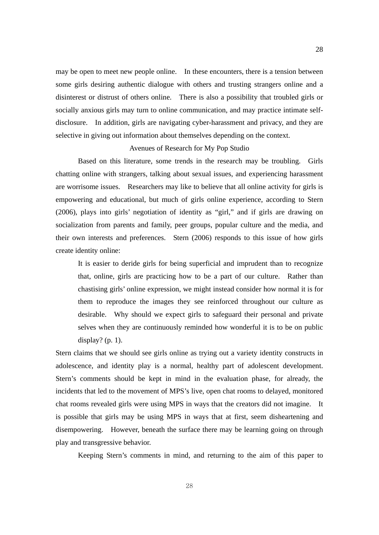may be open to meet new people online. In these encounters, there is a tension between some girls desiring authentic dialogue with others and trusting strangers online and a disinterest or distrust of others online. There is also a possibility that troubled girls or socially anxious girls may turn to online communication, and may practice intimate selfdisclosure. In addition, girls are navigating cyber-harassment and privacy, and they are selective in giving out information about themselves depending on the context.

#### Avenues of Research for My Pop Studio

Based on this literature, some trends in the research may be troubling. Girls chatting online with strangers, talking about sexual issues, and experiencing harassment are worrisome issues. Researchers may like to believe that all online activity for girls is empowering and educational, but much of girls online experience, according to Stern (2006), plays into girls' negotiation of identity as "girl," and if girls are drawing on socialization from parents and family, peer groups, popular culture and the media, and their own interests and preferences. Stern (2006) responds to this issue of how girls create identity online:

It is easier to deride girls for being superficial and imprudent than to recognize that, online, girls are practicing how to be a part of our culture. Rather than chastising girls' online expression, we might instead consider how normal it is for them to reproduce the images they see reinforced throughout our culture as desirable. Why should we expect girls to safeguard their personal and private selves when they are continuously reminded how wonderful it is to be on public display?  $(p. 1)$ .

Stern claims that we should see girls online as trying out a variety identity constructs in adolescence, and identity play is a normal, healthy part of adolescent development. Stern's comments should be kept in mind in the evaluation phase, for already, the incidents that led to the movement of MPS's live, open chat rooms to delayed, monitored chat rooms revealed girls were using MPS in ways that the creators did not imagine. It is possible that girls may be using MPS in ways that at first, seem disheartening and disempowering. However, beneath the surface there may be learning going on through play and transgressive behavior.

Keeping Stern's comments in mind, and returning to the aim of this paper to

28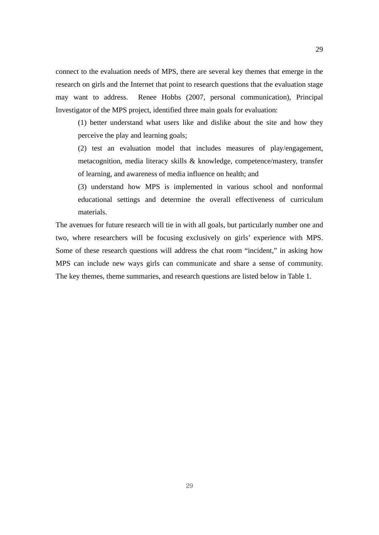connect to the evaluation needs of MPS, there are several key themes that emerge in the research on girls and the Internet that point to research questions that the evaluation stage may want to address. Renee Hobbs (2007, personal communication), Principal Investigator of the MPS project, identified three main goals for evaluation:

(1) better understand what users like and dislike about the site and how they perceive the play and learning goals;

(2) test an evaluation model that includes measures of play/engagement, metacognition, media literacy skills & knowledge, competence/mastery, transfer of learning, and awareness of media influence on health; and

(3) understand how MPS is implemented in various school and nonformal educational settings and determine the overall effectiveness of curriculum materials.

The avenues for future research will tie in with all goals, but particularly number one and two, where researchers will be focusing exclusively on girls' experience with MPS. Some of these research questions will address the chat room "incident," in asking how MPS can include new ways girls can communicate and share a sense of community. The key themes, theme summaries, and research questions are listed below in Table 1.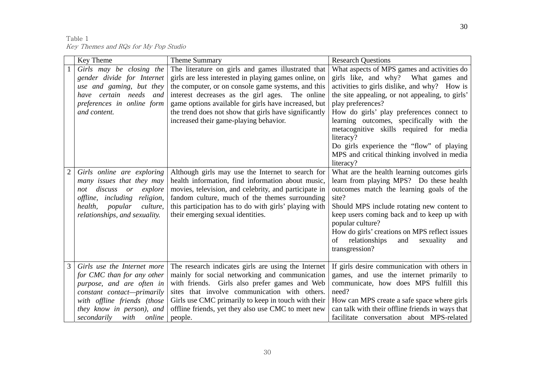## Table 1 Key Themes and RQs for My Pop Studio

|                | Key Theme                              | Theme Summary                                                                                         | <b>Research Questions</b>                                                                |
|----------------|----------------------------------------|-------------------------------------------------------------------------------------------------------|------------------------------------------------------------------------------------------|
|                | Girls may be closing the               | The literature on girls and games illustrated that                                                    | What aspects of MPS games and activities do                                              |
|                | gender divide for Internet             | girls are less interested in playing games online, on                                                 | girls like, and why? What games and                                                      |
|                | use and gaming, but they               | the computer, or on console game systems, and this                                                    | activities to girls dislike, and why? How is                                             |
|                | have certain needs and                 | interest decreases as the girl ages. The online                                                       | the site appealing, or not appealing, to girls'                                          |
|                | preferences in online form             | game options available for girls have increased, but                                                  | play preferences?                                                                        |
|                | and content.                           | the trend does not show that girls have significantly                                                 | How do girls' play preferences connect to                                                |
|                |                                        | increased their game-playing behavior.                                                                | learning outcomes, specifically with the                                                 |
|                |                                        |                                                                                                       | metacognitive skills required for media                                                  |
|                |                                        |                                                                                                       | literacy?                                                                                |
|                |                                        |                                                                                                       | Do girls experience the "flow" of playing<br>MPS and critical thinking involved in media |
|                |                                        |                                                                                                       | literacy?                                                                                |
| $\overline{2}$ | Girls online are exploring             | Although girls may use the Internet to search for                                                     | What are the health learning outcomes girls                                              |
|                | many issues that they may              | health information, find information about music,                                                     | learn from playing MPS? Do these health                                                  |
|                | explore<br>discuss<br><i>or</i><br>not | movies, television, and celebrity, and participate in                                                 | outcomes match the learning goals of the                                                 |
|                | offline, including<br>religion,        | fandom culture, much of the themes surrounding                                                        | site?                                                                                    |
|                | health,<br>popular<br>culture,         | this participation has to do with girls' playing with                                                 | Should MPS include rotating new content to                                               |
|                | relationships, and sexuality.          | their emerging sexual identities.                                                                     | keep users coming back and to keep up with                                               |
|                |                                        |                                                                                                       | popular culture?                                                                         |
|                |                                        |                                                                                                       | How do girls' creations on MPS reflect issues                                            |
|                |                                        |                                                                                                       | of<br>relationships<br>and<br>sexuality<br>and                                           |
|                |                                        |                                                                                                       | transgression?                                                                           |
| 3              | Girls use the Internet more            |                                                                                                       |                                                                                          |
|                | for CMC than for any other             | The research indicates girls are using the Internet<br>mainly for social networking and communication | If girls desire communication with others in<br>games, and use the internet primarily to |
|                | purpose, and are often in              | with friends. Girls also prefer games and Web                                                         | communicate, how does MPS fulfill this                                                   |
|                | constant contact-primarily             | sites that involve communication with others.                                                         | need?                                                                                    |
|                | with offline friends (those            | Girls use CMC primarily to keep in touch with their                                                   | How can MPS create a safe space where girls                                              |
|                | they know in person), and              | offline friends, yet they also use CMC to meet new                                                    | can talk with their offline friends in ways that                                         |
|                | with<br>secondarily<br>online          | people.                                                                                               | facilitate conversation about MPS-related                                                |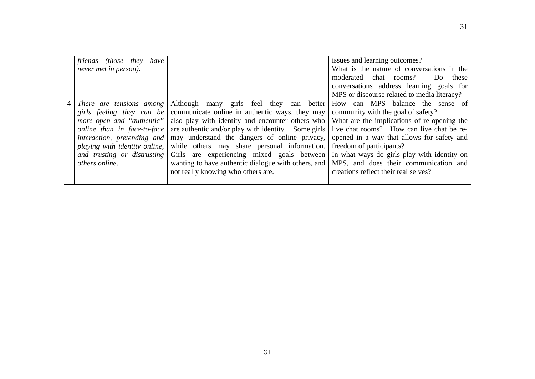|   | friends (those they have<br>never met in person).                                                                                                                                                     |                                                                                                                                                                                                                                                                                                                                                                                                                                                                                            | issues and learning outcomes?<br>What is the nature of conversations in the<br>moderated chat rooms?<br>Do these<br>conversations address learning goals for<br>MPS or discourse related to media literacy?                                                                                                                                                                  |
|---|-------------------------------------------------------------------------------------------------------------------------------------------------------------------------------------------------------|--------------------------------------------------------------------------------------------------------------------------------------------------------------------------------------------------------------------------------------------------------------------------------------------------------------------------------------------------------------------------------------------------------------------------------------------------------------------------------------------|------------------------------------------------------------------------------------------------------------------------------------------------------------------------------------------------------------------------------------------------------------------------------------------------------------------------------------------------------------------------------|
| 4 | There are tensions among<br>girls feeling they can be<br>online than in face-to-face<br>interaction, pretending and<br>playing with identity online,<br>and trusting or distrusting<br>others online. | Although many girls feel they can better<br>communicate online in authentic ways, they may<br><i>more open and "authentic"</i> also play with identity and encounter others who<br>are authentic and/or play with identity. Some girls $\vert$<br>may understand the dangers of online privacy,<br>while others may share personal information.<br>Girls are experiencing mixed goals between<br>wanting to have authentic dialogue with others, and<br>not really knowing who others are. | How can MPS balance the sense of<br>community with the goal of safety?<br>What are the implications of re-opening the<br>live chat rooms? How can live chat be re-<br>opened in a way that allows for safety and<br>freedom of participants?<br>In what ways do girls play with identity on<br>MPS, and does their communication and<br>creations reflect their real selves? |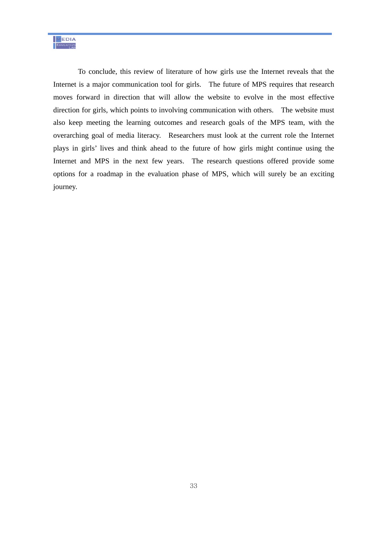To conclude, this review of literature of how girls use the Internet reveals that the Internet is a major communication tool for girls. The future of MPS requires that research moves forward in direction that will allow the website to evolve in the most effective direction for girls, which points to involving communication with others. The website must also keep meeting the learning outcomes and research goals of the MPS team, with the overarching goal of media literacy. Researchers must look at the current role the Internet plays in girls' lives and think ahead to the future of how girls might continue using the Internet and MPS in the next few years. The research questions offered provide some options for a roadmap in the evaluation phase of MPS, which will surely be an exciting journey.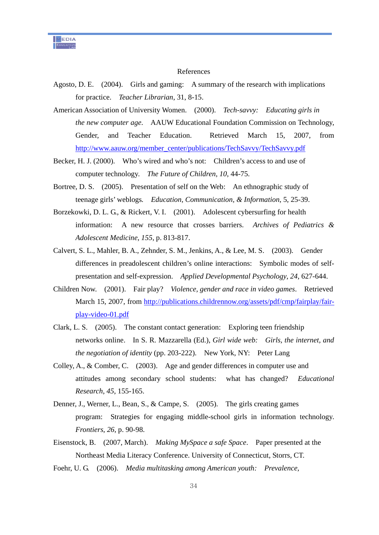#### References

- Agosto, D. E. (2004). Girls and gaming: A summary of the research with implications for practice. *Teacher Librarian*, 31, 8-15.
- American Association of University Women. (2000). *Tech-savvy: Educating girls in the new computer age*. AAUW Educational Foundation Commission on Technology, Gender, and Teacher Education. Retrieved March 15, 2007, from http://www.aauw.org/member\_center/publications/TechSavvy/TechSavvy.pdf
- Becker, H. J. (2000). Who's wired and who's not: Children's access to and use of computer technology. *The Future of Children*, *10*, 44-75.
- Bortree, D. S. (2005). Presentation of self on the Web: An ethnographic study of teenage girls' weblogs*. Education, Communication, & Information*, 5, 25-39.
- Borzekowki, D. L. G., & Rickert, V. I. (2001). Adolescent cybersurfing for health information: A new resource that crosses barriers. *Archives of Pediatrics & Adolescent Medicine*, *155*, p. 813-817.
- Calvert, S. L., Mahler, B. A., Zehnder, S. M., Jenkins, A., & Lee, M. S. (2003). Gender differences in preadolescent children's online interactions: Symbolic modes of selfpresentation and self-expression. *Applied Developmental Psychology*, *24*, 627-644.
- Children Now. (2001). Fair play? *Violence, gender and race in video games*. Retrieved March 15, 2007, from http://publications.childrennow.org/assets/pdf/cmp/fairplay/fairplay-video-01.pdf
- Clark, L. S. (2005). The constant contact generation: Exploring teen friendship networks online. In S. R. Mazzarella (Ed.), *Girl wide web: Girls, the internet, and the negotiation of identity* (pp. 203-222). New York, NY: Peter Lang
- Colley, A., & Comber, C. (2003). Age and gender differences in computer use and attitudes among secondary school students: what has changed? *Educational Research*, *45*, 155-165.
- Denner, J., Werner, L., Bean, S., & Campe, S. (2005). The girls creating games program: Strategies for engaging middle-school girls in information technology. *Frontiers*, *26*, p. 90-98.
- Eisenstock, B. (2007, March). *Making MySpace a safe Space*. Paper presented at the Northeast Media Literacy Conference. University of Connecticut, Storrs, CT.
- Foehr, U. G. (2006). *Media multitasking among American youth: Prevalence,*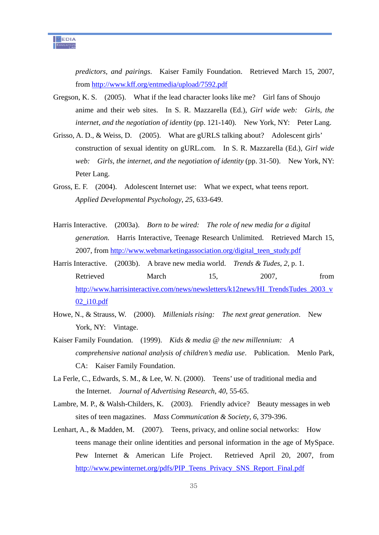*predictors, and pairings*. Kaiser Family Foundation. Retrieved March 15, 2007, from http://www.kff.org/entmedia/upload/7592.pdf

- Gregson, K. S. (2005). What if the lead character looks like me? Girl fans of Shoujo anime and their web sites. In S. R. Mazzarella (Ed.), *Girl wide web: Girls, the internet, and the negotiation of identity* (pp. 121-140). New York, NY: Peter Lang.
- Grisso, A. D., & Weiss, D. (2005). What are gURLS talking about? Adolescent girls' construction of sexual identity on gURL.com. In S. R. Mazzarella (Ed.), *Girl wide web: Girls, the internet, and the negotiation of identity* (pp. 31-50). New York, NY: Peter Lang.
- Gross, E. F. (2004). Adolescent Internet use: What we expect, what teens report. *Applied Developmental Psychology*, *25*, 633-649.
- Harris Interactive. (2003a). *Born to be wired: The role of new media for a digital generation.* Harris Interactive, Teenage Research Unlimited. Retrieved March 15, 2007, from http://www.webmarketingassociation.org/digital\_teen\_study.pdf
- Harris Interactive. (2003b). A brave new media world. *Trends & Tudes*, *2*, p. 1. Retrieved March 15, 2007, from http://www.harrisinteractive.com/news/newsletters/k12news/HI\_TrendsTudes\_2003\_v 02\_i10.pdf
- Howe, N., & Strauss, W. (2000). *Millenials rising: The next great generation*. New York, NY: Vintage.
- Kaiser Family Foundation. (1999). *Kids & media @ the new millennium: A comprehensive national analysis of children's media use*. Publication. Menlo Park, CA: Kaiser Family Foundation.
- La Ferle, C., Edwards, S. M., & Lee, W. N. (2000). Teens' use of traditional media and the Internet. *Journal of Advertising Research*, *40*, 55-65.
- Lambre, M. P., & Walsh-Childers, K. (2003). Friendly advice? Beauty messages in web sites of teen magazines. *Mass Communication & Society*, *6*, 379-396.
- Lenhart, A., & Madden, M. (2007). Teens, privacy, and online social networks: How teens manage their online identities and personal information in the age of MySpace. Pew Internet & American Life Project. Retrieved April 20, 2007, from http://www.pewinternet.org/pdfs/PIP\_Teens\_Privacy\_SNS\_Report\_Final.pdf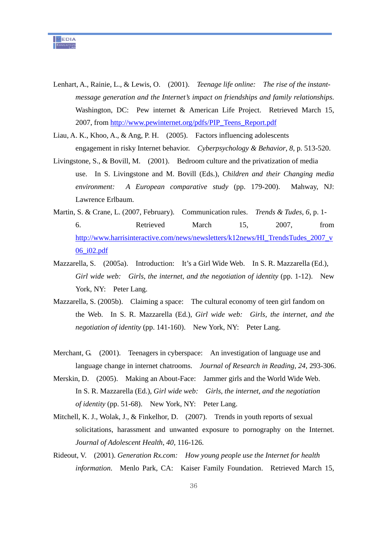- Lenhart, A., Rainie, L., & Lewis, O. (2001). *Teenage life online: The rise of the instantmessage generation and the Internet's impact on friendships and family relationships.* Washington, DC: Pew internet & American Life Project. Retrieved March 15, 2007, from http://www.pewinternet.org/pdfs/PIP\_Teens\_Report.pdf
- Liau, A. K., Khoo, A., & Ang, P. H. (2005). Factors influencing adolescents engagement in risky Internet behavior. *Cyberpsychology & Behavior*, *8*, p. 513-520.
- Livingstone, S., & Bovill, M. (2001). Bedroom culture and the privatization of media use. In S. Livingstone and M. Bovill (Eds.), *Children and their Changing media environment: A European comparative study* (pp. 179-200). Mahway, NJ: Lawrence Erlbaum.
- Martin, S. & Crane, L. (2007, February). Communication rules. *Trends & Tudes*, *6*, p. 1- 6. Retrieved March 15, 2007, from http://www.harrisinteractive.com/news/newsletters/k12news/HI\_TrendsTudes\_2007\_v 06\_i02.pdf
- Mazzarella, S. (2005a). Introduction: It's a Girl Wide Web. In S. R. Mazzarella (Ed.), *Girl wide web: Girls, the internet, and the negotiation of identity* (pp. 1-12). New York, NY: Peter Lang.
- Mazzarella, S. (2005b). Claiming a space: The cultural economy of teen girl fandom on the Web. In S. R. Mazzarella (Ed.), *Girl wide web: Girls, the internet, and the negotiation of identity* (pp. 141-160). New York, NY: Peter Lang.
- Merchant, G. (2001). Teenagers in cyberspace: An investigation of language use and language change in internet chatrooms. *Journal of Research in Reading*, *24*, 293-306.
- Merskin, D. (2005). Making an About-Face: Jammer girls and the World Wide Web. In S. R. Mazzarella (Ed.), *Girl wide web: Girls, the internet, and the negotiation of identity* (pp. 51-68). New York, NY: Peter Lang.
- Mitchell, K. J., Wolak, J., & Finkelhor, D. (2007). Trends in youth reports of sexual solicitations, harassment and unwanted exposure to pornography on the Internet. *Journal of Adolescent Health*, *40*, 116-126.
- Rideout, V. (2001). *Generation Rx.com: How young people use the Internet for health information*. Menlo Park, CA: Kaiser Family Foundation. Retrieved March 15,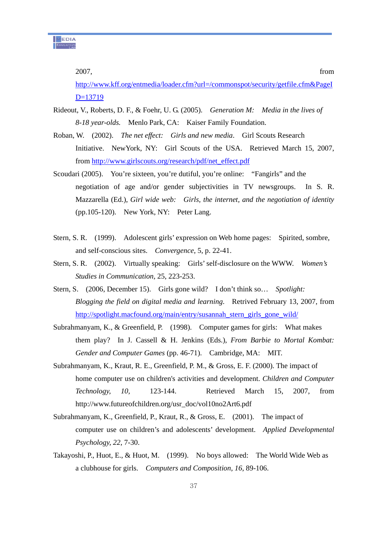2007, from

http://www.kff.org/entmedia/loader.cfm?url=/commonspot/security/getfile.cfm&PageI D=13719

- Rideout, V., Roberts, D. F., & Foehr, U. G. (2005). *Generation M: Media in the lives of 8-18 year-olds.* Menlo Park, CA: Kaiser Family Foundation.
- Roban, W. (2002). *The net effect: Girls and new media*. Girl Scouts Research Initiative. NewYork, NY: Girl Scouts of the USA. Retrieved March 15, 2007, from http://www.girlscouts.org/research/pdf/net\_effect.pdf
- Scoudari (2005). You're sixteen, you're dutiful, you're online: "Fangirls" and the negotiation of age and/or gender subjectivities in TV newsgroups. In S. R. Mazzarella (Ed.), *Girl wide web: Girls, the internet, and the negotiation of identity* (pp.105-120). New York, NY: Peter Lang.
- Stern, S. R. (1999). Adolescent girls' expression on Web home pages: Spirited, sombre, and self-conscious sites. *Convergence*, 5, p. 22-41.
- Stern, S. R. (2002). Virtually speaking: Girls' self-disclosure on the WWW. *Women's Studies in Communication,* 25, 223-253.
- Stern, S. (2006, December 15). Girls gone wild? I don't think so… *Spotlight: Blogging the field on digital media and learning*. Retrived February 13, 2007, from http://spotlight.macfound.org/main/entry/susannah\_stern\_girls\_gone\_wild/
- Subrahmanyam, K., & Greenfield, P. (1998). Computer games for girls: What makes them play? In J. Cassell & H. Jenkins (Eds.), *From Barbie to Mortal Kombat: Gender and Computer Games* (pp. 46-71). Cambridge, MA: MIT.
- Subrahmanyam, K., Kraut, R. E., Greenfield, P. M., & Gross, E. F. (2000). The impact of home computer use on children's activities and development. *Children and Computer Technology, 10,* 123-144. Retrieved March 15, 2007, from http://www.futureofchildren.org/usr\_doc/vol10no2Art6.pdf
- Subrahmanyam, K., Greenfield, P., Kraut, R., & Gross, E. (2001). The impact of computer use on children's and adolescents' development. *Applied Developmental Psychology, 22*, 7-30.
- Takayoshi, P., Huot, E., & Huot, M. (1999). No boys allowed: The World Wide Web as a clubhouse for girls. *Computers and Composition*, *16*, 89-106.